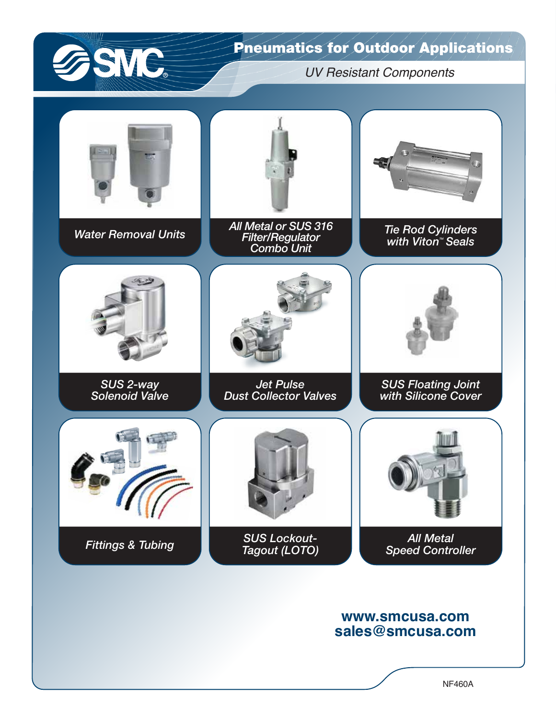

## Pneumatics for Outdoor Applications

*UV Resistant Components*